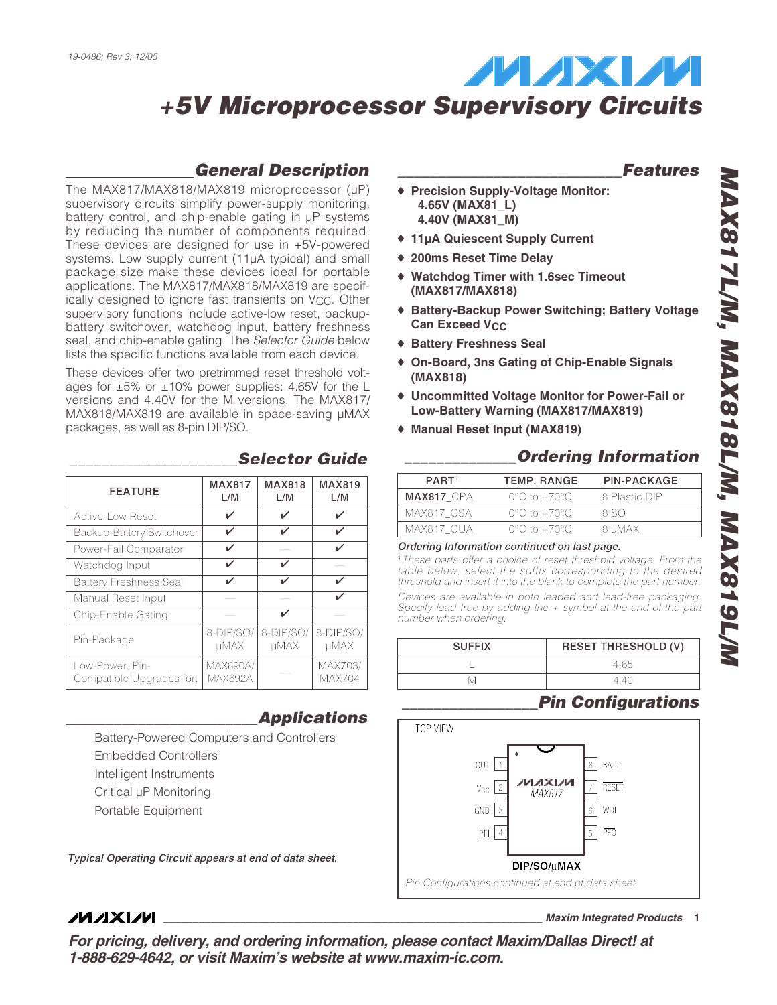## *General Description*

The MAX817/MAX818/MAX819 microprocessor (µP) supervisory circuits simplify power-supply monitoring, battery control, and chip-enable gating in µP systems by reducing the number of components required. These devices are designed for use in +5V-powered systems. Low supply current (11µA typical) and small package size make these devices ideal for portable applications. The MAX817/MAX818/MAX819 are specifically designed to ignore fast transients on VCC. Other supervisory functions include active-low reset, backupbattery switchover, watchdog input, battery freshness seal, and chip-enable gating. The *Selector Guide* below lists the specific functions available from each device.

These devices offer two pretrimmed reset threshold voltages for  $\pm 5\%$  or  $\pm 10\%$  power supplies: 4.65V for the L versions and 4.40V for the M versions. The MAX817/ MAX818/MAX819 are available in space-saving µMAX packages, as well as 8-pin DIP/SO.

| <b>FEATURE</b>                              | <b>MAX817</b><br>L/M              | <b>MAX818</b><br>L/M     | <b>MAX819</b><br>L/M     |
|---------------------------------------------|-----------------------------------|--------------------------|--------------------------|
| <b>Active-Low Reset</b>                     | ✓                                 | ✓                        | ✓                        |
| <b>Backup-Battery Switchover</b>            | ✓                                 | ✓                        | ✓                        |
| Power-Fail Comparator                       | ✓                                 |                          | ✓                        |
| Watchdog Input                              | ✓                                 | ✓                        |                          |
| <b>Battery Freshness Seal</b>               | ✓                                 | ✓                        | ✓                        |
| Manual Reset Input                          |                                   |                          | ✓                        |
| Chip-Enable Gating                          |                                   | ✓                        |                          |
| Pin-Package                                 | 8-DIP/SO/<br>uMAX                 | 8-DIP/SO/<br><b>µMAX</b> | 8-DIP/SO/<br><b>µMAX</b> |
| Low-Power, Pin-<br>Compatible Upgrades for: | <b>MAX690A/</b><br><b>MAX692A</b> |                          | MAX703/<br><b>MAX704</b> |

Battery-Powered Computers and Controllers

*Typical Operating Circuit appears at end of data sheet.*

Embedded Controllers Intelligent Instruments Critical µP Monitoring Portable Equipment

*\_\_\_\_\_\_\_\_\_\_\_\_\_\_\_\_\_\_\_\_\_\_\_\_Applications*

## *\_\_\_\_\_\_\_\_\_\_\_\_\_\_\_\_\_\_\_\_\_\_\_\_\_\_\_\_Features*

- ♦ **Precision Supply-Voltage Monitor: 4.65V (MAX81\_L) 4.40V (MAX81\_M)**
- ♦ **11µA Quiescent Supply Current**
- ♦ **200ms Reset Time Delay**
- ♦ **Watchdog Timer with 1.6sec Timeout (MAX817/MAX818)**
- ♦ **Battery-Backup Power Switching; Battery Voltage Can Exceed V<sub>CC</sub>**
- ♦ **Battery Freshness Seal**
- ♦ **On-Board, 3ns Gating of Chip-Enable Signals (MAX818)**
- ♦ **Uncommitted Voltage Monitor for Power-Fail or Low-Battery Warning (MAX817/MAX819)**
- ♦ **Manual Reset Input (MAX819)**

## *\_\_\_\_\_\_\_\_\_\_\_\_\_\_\_\_\_\_\_\_\_Selector Guide \_\_\_\_\_\_\_\_\_\_\_\_\_\_Ordering Information*

| <b>PART</b>       | <b>TEMP. RANGE</b>               | <b>PIN-PACKAGE</b> |
|-------------------|----------------------------------|--------------------|
| <b>MAX817 CPA</b> | $0^{\circ}$ C to $+70^{\circ}$ C | 8 Plastic DIP      |
| MAX817 CSA        | $0^{\circ}$ C to $+70^{\circ}$ C | 8 SO               |
| MAX817 CUA        | $0^{\circ}$ C to $+70^{\circ}$ C | 8 µMAX             |
|                   |                                  |                    |

#### *Ordering Information continued on last page.*

†*These parts offer a choice of reset threshold voltage. From the table below, select the suffix corresponding to the desired threshold and insert it into the blank to complete the part number.*

*Devices are available in both leaded and lead-free packaging. Specify lead free by adding the + symbol at the end of the part number when ordering.*

| <b>SUFFIX</b> | <b>RESET THRESHOLD (V)</b> |
|---------------|----------------------------|
|               | 4 65                       |
| M             | 4 40                       |
|               |                            |

## *\_\_\_\_\_\_\_\_\_\_\_\_\_\_\_\_\_Pin Configurations*



## **MAXIM**

*For pricing, delivery, and ordering information, please contact Maxim/Dallas Direct! at 1-888-629-4642, or visit Maxim's website at www.maxim-ic.com.*

*\**

**\_\_\_\_\_\_\_\_\_\_\_\_\_\_\_\_\_\_\_\_\_\_\_\_\_\_\_\_\_\_\_\_\_\_\_\_\_\_\_\_\_\_\_\_\_\_\_\_\_\_\_\_\_\_\_\_\_\_\_\_\_\_\_\_** *Maxim Integrated Products* **1**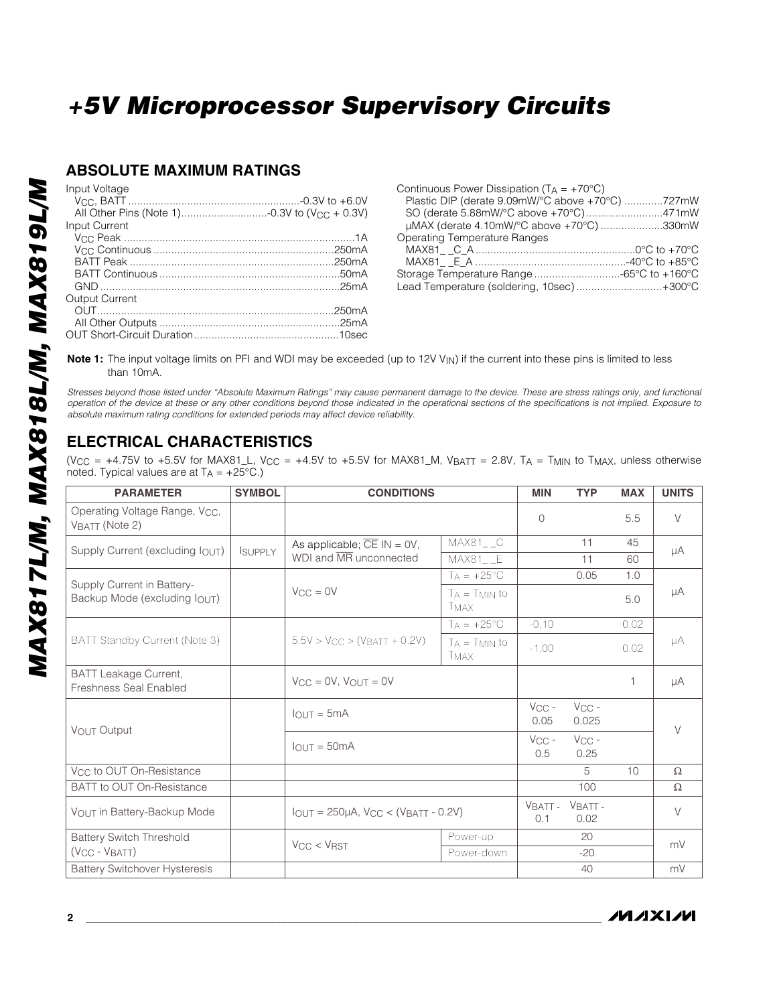## **ABSOLUTE MAXIMUM RATINGS**

| <b>Input Current</b> |  |
|----------------------|--|
|                      |  |
|                      |  |
|                      |  |
|                      |  |
|                      |  |
|                      |  |
|                      |  |
|                      |  |
| Output Current       |  |
|                      |  |
|                      |  |
|                      |  |

| Continuous Power Dissipation ( $T_A = +70^{\circ}C$ ) |  |
|-------------------------------------------------------|--|
| Plastic DIP (derate 9.09mW/°C above +70°C) 727mW      |  |
| SO (derate 5.88mW/°C above +70°C)471mW                |  |
| µMAX (derate 4.10mW/°C above +70°C) 330mW             |  |
| <b>Operating Temperature Ranges</b>                   |  |
|                                                       |  |
|                                                       |  |
| Storage Temperature Range -65°C to +160°C             |  |
| Lead Temperature (soldering, 10sec)+300°C             |  |

**Note 1:** The input voltage limits on PFI and WDI may be exceeded (up to 12V V<sub>IN</sub>) if the current into these pins is limited to less than 10mA.

*Stresses beyond those listed under "Absolute Maximum Ratings" may cause permanent damage to the device. These are stress ratings only, and functional operation of the device at these or any other conditions beyond those indicated in the operational sections of the specifications is not implied. Exposure to absolute maximum rating conditions for extended periods may affect device reliability.*

## **ELECTRICAL CHARACTERISTICS**

(V<sub>CC</sub> = +4.75V to +5.5V for MAX81\_L, V<sub>CC</sub> = +4.5V to +5.5V for MAX81\_M, V<sub>BATT</sub> = 2.8V, T<sub>A</sub> = T<sub>MIN</sub> to T<sub>MAX</sub>, unless otherwise noted. Typical values are at  $TA = +25^{\circ}C$ .)

| <b>PARAMETER</b>                                              | <b>SYMBOL</b>              | <b>CONDITIONS</b>                          |                                   | <b>MIN</b>         | <b>TYP</b>          | <b>MAX</b> | <b>UNITS</b> |    |
|---------------------------------------------------------------|----------------------------|--------------------------------------------|-----------------------------------|--------------------|---------------------|------------|--------------|----|
| Operating Voltage Range, Vcc.<br>VBATT (Note 2)               |                            |                                            |                                   | $\bigcap$          |                     | 5.5        | $\vee$       |    |
| Supply Current (excluding $I_{\text{OUT}}$ )                  | <b>SUPPLY</b>              | As applicable; $\overline{CE}$ IN = 0V,    | MAX81 C                           |                    | 11                  | 45         |              |    |
|                                                               | WDI and MR unconnected     | MAX81 E                                    |                                   | 11                 | 60                  | μA         |              |    |
|                                                               |                            |                                            | $T_A = +25$ °C                    |                    | 0.05                | 1.0        |              |    |
| Backup Mode (excluding IOUT)                                  | Supply Current in Battery- | $V_{CC} = 0V$                              | $T_A = T_{MIN}$ to<br><b>TMAX</b> |                    |                     | 5.0        | μA           |    |
|                                                               |                            |                                            | $TA = +25^{\circ}C$               | $-0.10$            |                     | 0.02       |              |    |
| BATT Standby Current (Note 3)                                 |                            | $5.5V > V_{CC} > (V_{BATT} + 0.2V)$        | $T_A = T_{MIN}$ to<br>TMAX        | $-1.00$            |                     | 0.02       | μA           |    |
| <b>BATT Leakage Current,</b><br><b>Freshness Seal Enabled</b> |                            | $V_{CC} = 0V$ , $V_{OUT} = 0V$             |                                   |                    |                     | 1          | μA           |    |
| VOUT Output                                                   |                            | $I$ <sub>OUT</sub> = 5mA                   |                                   | $V_{CC}$ -<br>0.05 | $V_{CC}$ -<br>0.025 |            | $\vee$       |    |
|                                                               |                            | $IOUT = 50mA$                              |                                   | $V_{CC}$ -<br>0.5  | $V_{CC}$ -<br>0.25  |            |              |    |
| V <sub>CC</sub> to OUT On-Resistance                          |                            |                                            |                                   |                    | 5                   | 10         | Ω            |    |
| BATT to OUT On-Resistance                                     |                            |                                            |                                   |                    | 100                 |            | $\Omega$     |    |
| VOUT in Battery-Backup Mode                                   |                            | $IOUT = 250\mu A$ , $VCC < (VBATT - 0.2V)$ |                                   | VBATT-<br>0.1      | VBATT-<br>0.02      |            | $\vee$       |    |
| <b>Battery Switch Threshold</b>                               |                            | Power-up<br>VCC < VRST<br>Power-down       |                                   |                    |                     | 20         |              | mV |
| $(VCC - VBATT)$                                               |                            |                                            |                                   | $-20$              |                     |            |              |    |
| <b>Battery Switchover Hysteresis</b>                          |                            |                                            |                                   |                    | 40                  |            | mV           |    |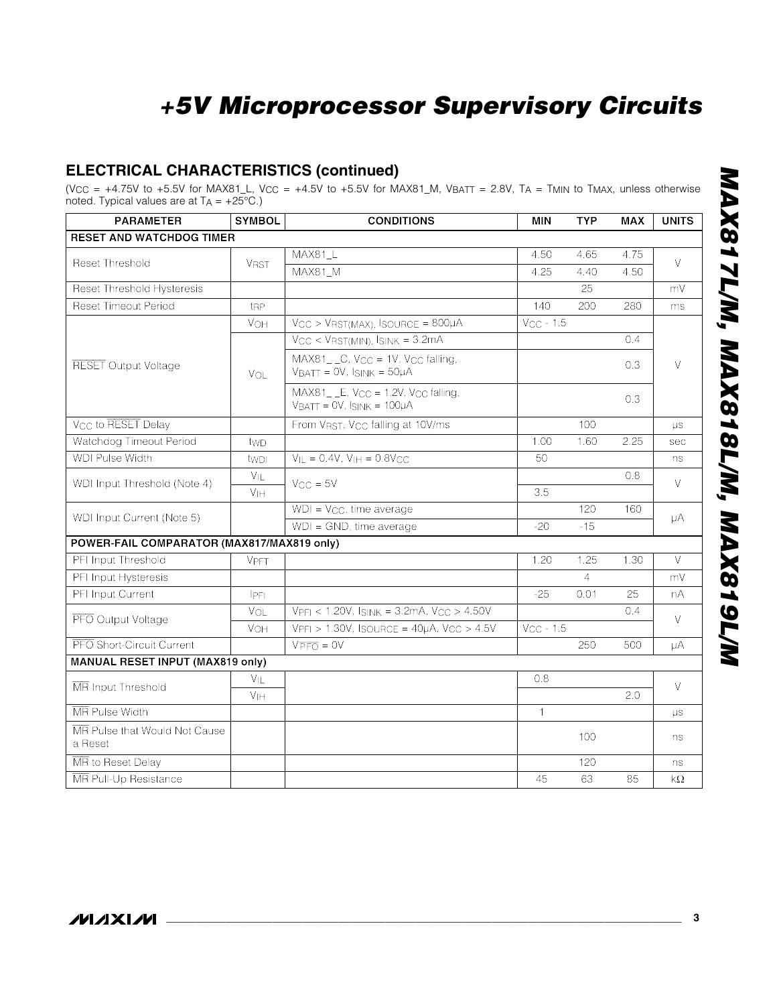## **ELECTRICAL CHARACTERISTICS (continued)**

(V<sub>CC</sub> = +4.75V to +5.5V for MAX81\_L, V<sub>CC</sub> = +4.5V to +5.5V for MAX81\_M, V<sub>BATT</sub> = 2.8V, T<sub>A</sub> = T<sub>MIN</sub> to T<sub>MAX</sub>, unless otherwise noted. Typical values are at  $TA = +25^{\circ}C$ .)

| <b>PARAMETER</b>                           | <b>SYMBOL</b>         | <b>CONDITIONS</b>                                                                              | <b>MIN</b>     | <b>TYP</b>     | <b>MAX</b> | <b>UNITS</b> |
|--------------------------------------------|-----------------------|------------------------------------------------------------------------------------------------|----------------|----------------|------------|--------------|
| <b>RESET AND WATCHDOG TIMER</b>            |                       |                                                                                                |                |                |            |              |
| <b>Reset Threshold</b>                     |                       | MAX81 L                                                                                        | 4.50           | 4.65           | 4.75       | $\vee$       |
|                                            | <b>VRST</b>           | MAX81_M                                                                                        | 4.25           | 4.40           | 4.50       |              |
| Reset Threshold Hysteresis                 |                       |                                                                                                |                | 25             |            | mV           |
| <b>Reset Timeout Period</b>                | t <sub>RP</sub>       |                                                                                                | 140            | 200            | 280        | ms           |
|                                            | VOH                   | $V_{CC}$ > $V_{RST(MAX)}$ , ISOURCE = 800µA                                                    | $V_{CC}$ - 1.5 |                |            |              |
|                                            |                       | $V_{CC}$ < $V_{RST(MIN)}$ , $I_{SINK}$ = 3.2mA                                                 |                |                | 0.4        |              |
| <b>RESET</b> Output Voltage                | VOL                   | $MAX81$ <sub>-C</sub> , $V_{CC}$ = 1V, $V_{CC}$ falling,<br>$V_{BAT} = OV, I_{SINK} = 50\mu A$ |                |                | 0.3        | $\vee$       |
|                                            |                       | $MAX81$ <sub>--</sub> E, $V_{CC}$ = 1.2V, $V_{CC}$ falling,<br>$VBATT = 0V$ , $ISINK = 100µA$  |                |                | 0.3        |              |
| V <sub>CC</sub> to RESET Delay             |                       | From VRST, V <sub>CC</sub> falling at 10V/ms                                                   |                | 100            |            | $\mu s$      |
| Watchdog Timeout Period                    | twp                   |                                                                                                | 1.00           | 1.60           | 2.25       | sec          |
| <b>WDI Pulse Width</b>                     | twpl                  | $V_{IL} = 0.4V$ , $V_{IH} = 0.8V_{CC}$                                                         | 50             |                |            | ns           |
| WDI Input Threshold (Note 4)               | VIL                   | $V_{CC} = 5V$                                                                                  |                |                | 0.8        | $\vee$       |
|                                            | <b>V<sub>IH</sub></b> |                                                                                                | 3.5            |                |            |              |
| WDI Input Current (Note 5)                 |                       | $WDI = V_{CC}$ , time average                                                                  |                | 120            | 160        | μA           |
|                                            |                       | $WDI = GND$ , time average                                                                     | $-20$          | $-15$          |            |              |
| POWER-FAIL COMPARATOR (MAX817/MAX819 only) |                       |                                                                                                |                |                |            |              |
| PFI Input Threshold                        | <b>VPFT</b>           |                                                                                                | 1.20           | 1.25           | 1.30       | $\vee$       |
| PFI Input Hysteresis                       |                       |                                                                                                |                | $\overline{4}$ |            | mV           |
| PFI Input Current                          | IPFI                  |                                                                                                | $-25$          | 0.01           | 25         | nA           |
| PFO Output Voltage                         | VOL                   | $V_{\text{PFI}} < 1.20V$ , $I_{\text{SINK}} = 3.2mA$ , $V_{\text{CC}} > 4.50V$                 |                |                | 0.4        | $\vee$       |
|                                            | VOH                   | $VPFI > 1.30V$ , ISOURCE = $40\mu A$ , VCC > $4.5V$                                            | $V_{CC}$ - 1.5 |                |            |              |
| PFO Short-Circuit Current                  |                       | $V\overline{PFO} = 0V$                                                                         |                | 250            | 500        | μA           |
| <b>MANUAL RESET INPUT (MAX819 only)</b>    |                       |                                                                                                |                |                |            |              |
| MR Input Threshold                         | $V_{IL}$              |                                                                                                | 0.8            |                |            | $\vee$       |
|                                            | V <sub>IH</sub>       |                                                                                                |                |                | 2.0        |              |
| MR Pulse Width                             |                       |                                                                                                | 1              |                |            | μs           |
| MR Pulse that Would Not Cause<br>a Reset   |                       |                                                                                                |                | 100            |            | ns           |
| MR to Reset Delay                          |                       |                                                                                                |                | 120            |            | ns           |
| MR Pull-Up Resistance                      |                       |                                                                                                | 45             | 63             | 85         | kΩ           |

*\**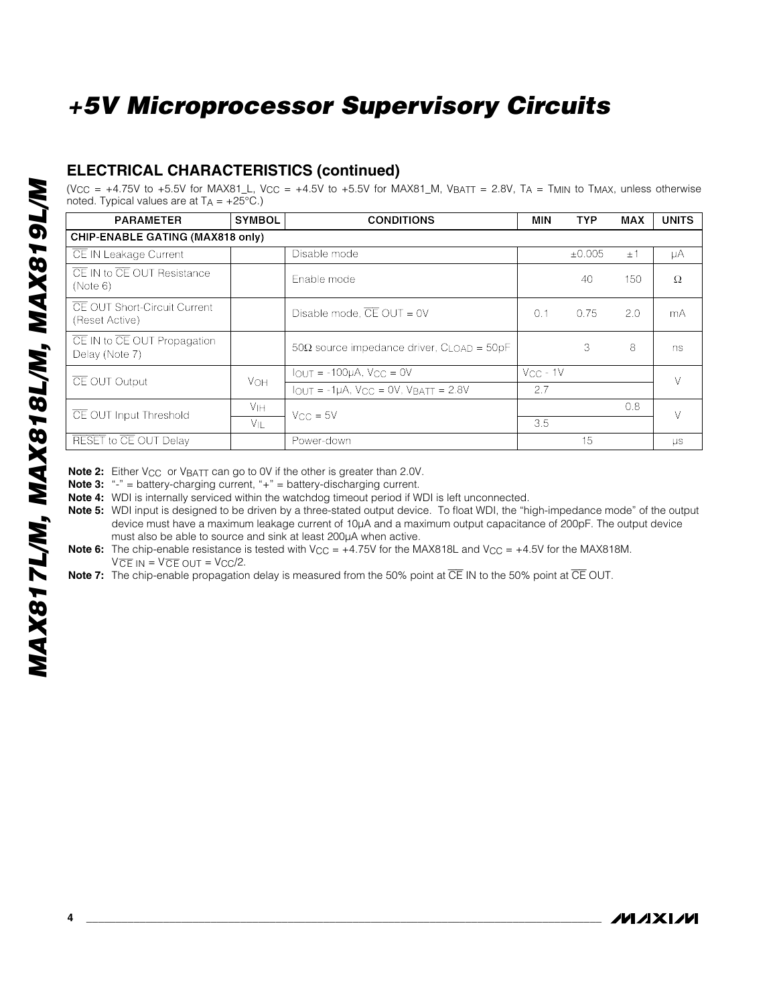## **ELECTRICAL CHARACTERISTICS (continued)**

(V<sub>CC</sub> = +4.75V to +5.5V for MAX81\_L, V<sub>CC</sub> = +4.5V to +5.5V for MAX81\_M, V<sub>BATT</sub> = 2.8V, T<sub>A</sub> = T<sub>MIN</sub> to T<sub>MAX</sub>, unless otherwise noted. Typical values are at  $TA = +25^{\circ}C$ .)

| <b>PARAMETER</b>                                      | <b>SYMBOL</b>         | <b>CONDITIONS</b>                                       | MIN           | <b>TYP</b> | MAX     | <b>UNITS</b> |
|-------------------------------------------------------|-----------------------|---------------------------------------------------------|---------------|------------|---------|--------------|
| <b>CHIP-ENABLE GATING (MAX818 only)</b>               |                       |                                                         |               |            |         |              |
| CE IN Leakage Current                                 |                       | Disable mode                                            |               | ±0.005     | $\pm$ 1 | μA           |
| CE IN to CE OUT Resistance<br>(Note 6)                |                       | Enable mode                                             |               | 40         | 150     | Ω            |
| <b>CE OUT Short-Circuit Current</b><br>(Reset Active) |                       | Disable mode, $\overline{CE}$ OUT = 0V                  | 0.1           | 0.75       | 2.0     | mA           |
| CE IN to CE OUT Propagation<br>Delay (Note 7)         |                       | $50\Omega$ source impedance driver, $C_{LOAD} = 50pF$   |               | 3          | 8       | ns           |
|                                                       |                       | $IOUT = -100µA, VCC = 0V$                               | $V_{CC}$ - 1V |            |         |              |
| CE OUT Output                                         | VOH                   | $I_{OUT} = -1\mu A$ , $V_{CC} = 0V$ , $V_{BATT} = 2.8V$ | 2.7           |            |         | V            |
| CE OUT Input Threshold                                | <b>V<sub>IH</sub></b> | $V_{CC} = 5V$                                           |               |            | 0.8     | $\vee$       |
|                                                       | VIL                   |                                                         | 3.5           |            |         |              |
| RESET to CE OUT Delay                                 |                       | Power-down                                              |               | 15         |         | $\mu s$      |

**Note 2:** Either V<sub>CC</sub> or V<sub>BATT</sub> can go to 0V if the other is greater than 2.0V.

**Note 3:** "-" = battery-charging current, "+" = battery-discharging current.

**Note 4:** WDI is internally serviced within the watchdog timeout period if WDI is left unconnected.

**Note 5:** WDI input is designed to be driven by a three-stated output device. To float WDI, the "high-impedance mode" of the output device must have a maximum leakage current of 10µA and a maximum output capacitance of 200pF. The output device must also be able to source and sink at least 200µA when active.

**Note 6:** The chip-enable resistance is tested with V<sub>CC</sub> =  $+4.75V$  for the MAX818L and V<sub>CC</sub> =  $+4.5V$  for the MAX818M.  $VCE IN = VCE OUT = VCC/2.$ 

**Note 7:** The chip-enable propagation delay is measured from the 50% point at  $\overline{CE}$  IN to the 50% point at  $\overline{CE}$  OUT.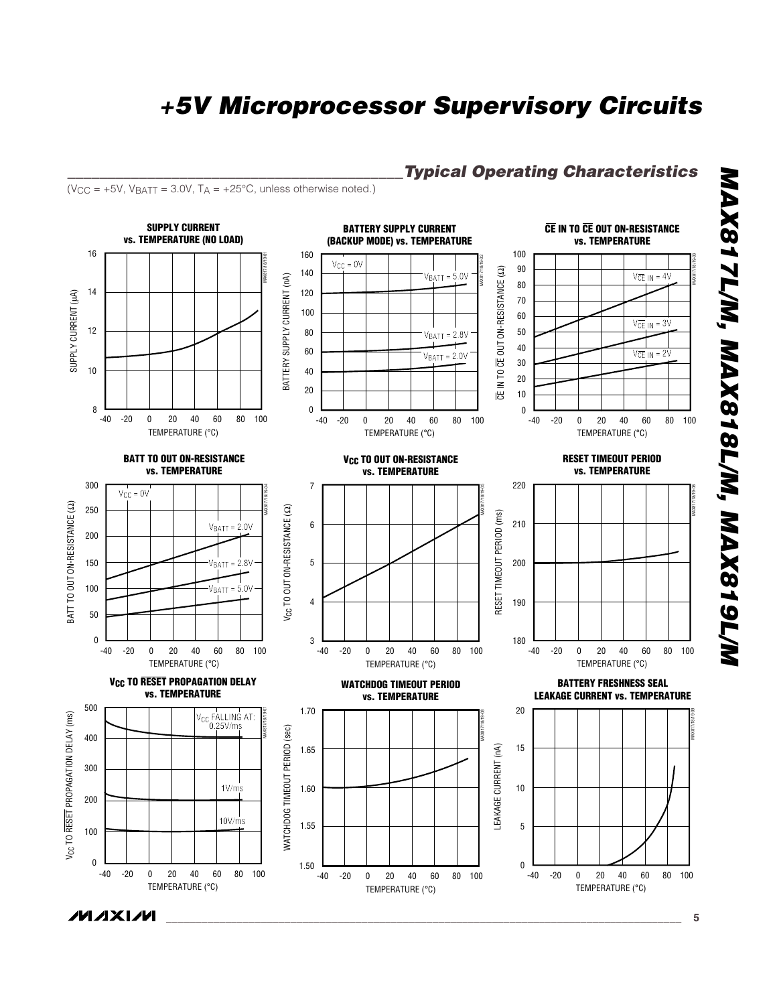*\_\_\_\_\_\_\_\_\_\_\_\_\_\_\_\_\_\_\_\_\_\_\_\_\_\_\_\_\_\_\_\_\_\_\_\_\_\_\_\_\_\_Typical Operating Characteristics*



*\**

*\_\_\_\_\_\_\_\_\_\_\_\_\_\_\_\_\_\_\_\_\_\_\_\_\_\_\_\_\_\_\_\_\_\_\_\_\_\_\_\_\_\_\_\_\_\_\_\_\_\_\_\_\_\_\_\_\_\_\_\_\_\_\_\_\_\_\_\_\_\_\_\_\_\_\_\_\_\_\_\_\_\_\_\_\_\_\_* **5**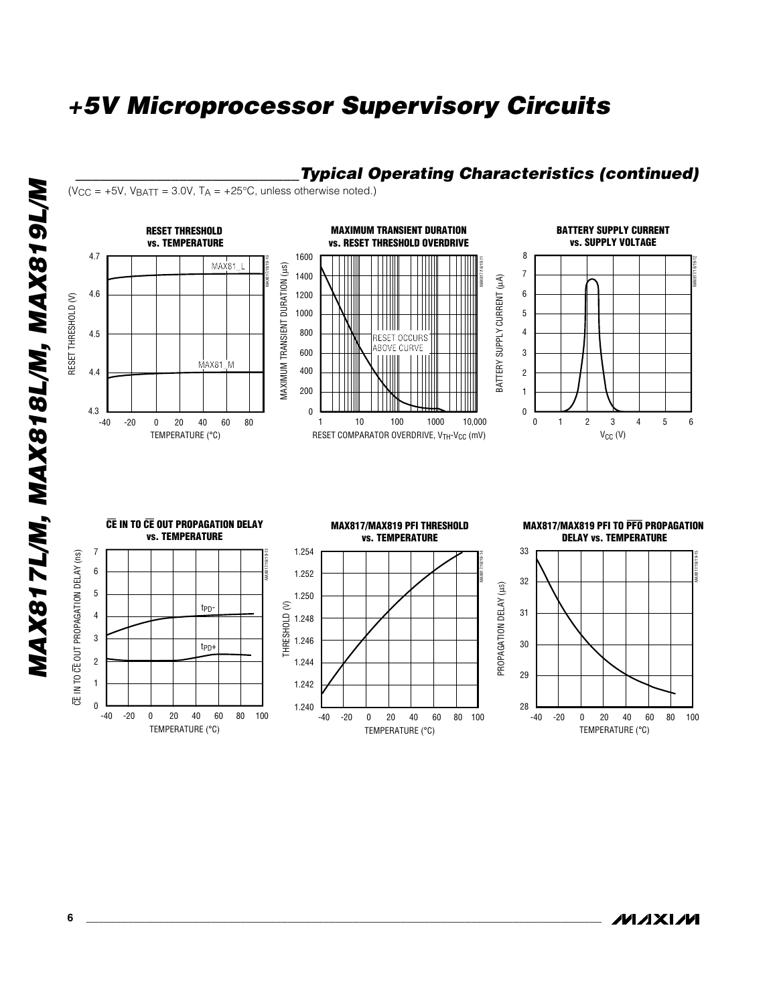

### *\_\_\_\_\_\_\_\_\_\_\_\_\_\_\_\_\_\_\_\_\_\_\_\_\_\_\_\_Typical Operating Characteristics (continued)*

*MAX817L/M, MAX818L/M, MAX819L/M* MAX817L/M, MAX818L/M, MAX819L/M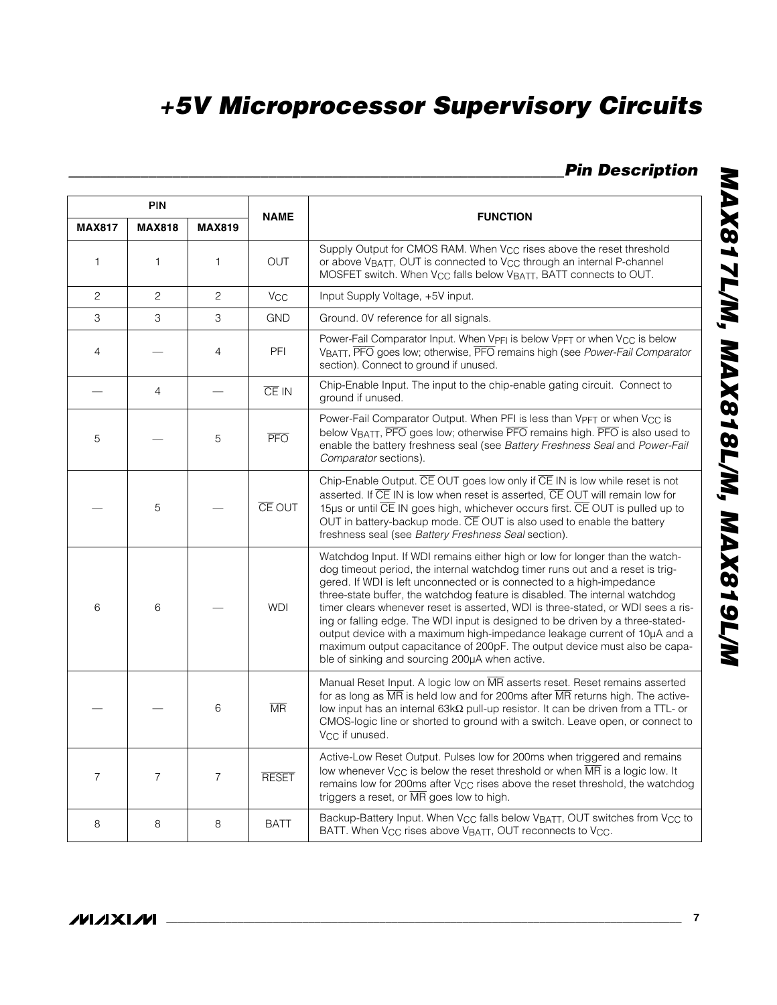## *\_\_\_\_\_\_\_\_\_\_\_\_\_\_\_\_\_\_\_\_\_\_\_\_\_\_\_\_\_\_\_\_\_\_\_\_\_\_\_\_\_\_\_\_\_\_\_\_\_\_\_\_\_\_\_\_\_\_\_\_\_\_Pin Description*

|                | PIN            |                |                        |                                                                                                                                                                                                                                                                                                                                                                                                                                                                                                                                                                                                                                                                                                         |
|----------------|----------------|----------------|------------------------|---------------------------------------------------------------------------------------------------------------------------------------------------------------------------------------------------------------------------------------------------------------------------------------------------------------------------------------------------------------------------------------------------------------------------------------------------------------------------------------------------------------------------------------------------------------------------------------------------------------------------------------------------------------------------------------------------------|
| <b>MAX817</b>  | <b>MAX818</b>  | <b>MAX819</b>  | <b>NAME</b>            | <b>FUNCTION</b>                                                                                                                                                                                                                                                                                                                                                                                                                                                                                                                                                                                                                                                                                         |
| $\mathbf{1}$   | 1              | 1              | <b>OUT</b>             | Supply Output for CMOS RAM. When V <sub>CC</sub> rises above the reset threshold<br>or above VBATT, OUT is connected to V <sub>CC</sub> through an internal P-channel<br>MOSFET switch. When V <sub>CC</sub> falls below V <sub>BATT</sub> , BATT connects to OUT.                                                                                                                                                                                                                                                                                                                                                                                                                                      |
| $\mathbf{2}$   | 2              | 2              | <b>V<sub>CC</sub></b>  | Input Supply Voltage, +5V input.                                                                                                                                                                                                                                                                                                                                                                                                                                                                                                                                                                                                                                                                        |
| 3              | 3              | З              | <b>GND</b>             | Ground. OV reference for all signals.                                                                                                                                                                                                                                                                                                                                                                                                                                                                                                                                                                                                                                                                   |
| 4              |                | 4              | PFI                    | Power-Fail Comparator Input. When VPFI is below VPFT or when VCC is below<br>VBATT, PFO goes low; otherwise, PFO remains high (see Power-Fail Comparator<br>section). Connect to ground if unused.                                                                                                                                                                                                                                                                                                                                                                                                                                                                                                      |
|                | $\overline{4}$ |                | CE IN                  | Chip-Enable Input. The input to the chip-enable gating circuit. Connect to<br>ground if unused.                                                                                                                                                                                                                                                                                                                                                                                                                                                                                                                                                                                                         |
| 5              |                | 5              | $\overline{PFO}$       | Power-Fail Comparator Output. When PFI is less than VPFT or when V <sub>CC</sub> is<br>below VBATT, PFO goes low; otherwise PFO remains high. PFO is also used to<br>enable the battery freshness seal (see Battery Freshness Seal and Power-Fail<br>Comparator sections).                                                                                                                                                                                                                                                                                                                                                                                                                              |
|                | 5              |                | <b>CE OUT</b>          | Chip-Enable Output. CE OUT goes low only if CE IN is low while reset is not<br>asserted. If CE IN is low when reset is asserted, CE OUT will remain low for<br>15µs or until CE IN goes high, whichever occurs first. CE OUT is pulled up to<br>OUT in battery-backup mode. CE OUT is also used to enable the battery<br>freshness seal (see Battery Freshness Seal section).                                                                                                                                                                                                                                                                                                                           |
| 6              | 6              |                | <b>WDI</b>             | Watchdog Input. If WDI remains either high or low for longer than the watch-<br>dog timeout period, the internal watchdog timer runs out and a reset is trig-<br>gered. If WDI is left unconnected or is connected to a high-impedance<br>three-state buffer, the watchdog feature is disabled. The internal watchdog<br>timer clears whenever reset is asserted, WDI is three-stated, or WDI sees a ris-<br>ing or falling edge. The WDI input is designed to be driven by a three-stated-<br>output device with a maximum high-impedance leakage current of 10µA and a<br>maximum output capacitance of 200pF. The output device must also be capa-<br>ble of sinking and sourcing 200µA when active. |
|                |                | 6              | $\overline{\text{MR}}$ | Manual Reset Input. A logic low on MR asserts reset. Reset remains asserted<br>for as long as $\overline{\text{MR}}$ is held low and for 200ms after $\overline{\text{MR}}$ returns high. The active-<br>low input has an internal 63k $\Omega$ pull-up resistor. It can be driven from a TTL- or<br>CMOS-logic line or shorted to ground with a switch. Leave open, or connect to<br>Vcc if unused.                                                                                                                                                                                                                                                                                                    |
| $\overline{7}$ | $\overline{7}$ | $\overline{7}$ | <b>RESET</b>           | Active-Low Reset Output. Pulses low for 200ms when triggered and remains<br>low whenever $V_{\text{CC}}$ is below the reset threshold or when MR is a logic low. It<br>remains low for 200ms after $V_{\text{CC}}$ rises above the reset threshold, the watchdog<br>triggers a reset, or MR goes low to high.                                                                                                                                                                                                                                                                                                                                                                                           |
| 8              | 8              | 8              | <b>BATT</b>            | Backup-Battery Input. When V <sub>CC</sub> falls below V <sub>BATT</sub> , OUT switches from V <sub>CC</sub> to<br>BATT. When V <sub>CC</sub> rises above V <sub>BATT</sub> , OUT reconnects to V <sub>CC</sub> .                                                                                                                                                                                                                                                                                                                                                                                                                                                                                       |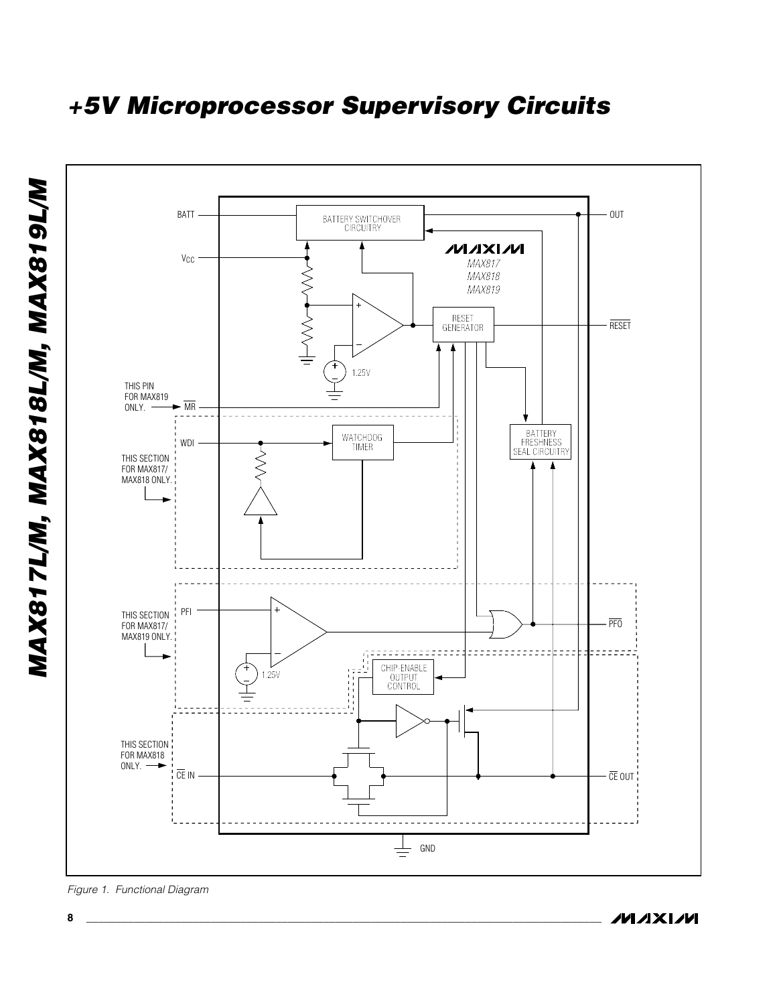

**MAXIM** 

*Figure 1. Functional Diagram*

**8 \_\_\_\_\_\_\_\_\_\_\_\_\_\_\_\_\_\_\_\_\_\_\_\_\_\_\_\_\_\_\_\_\_\_\_\_\_\_\_\_\_\_\_\_\_\_\_\_\_\_\_\_\_\_\_\_\_\_\_\_\_\_\_\_\_\_\_\_\_\_\_\_\_\_\_\_\_\_\_\_\_\_\_\_\_\_\_**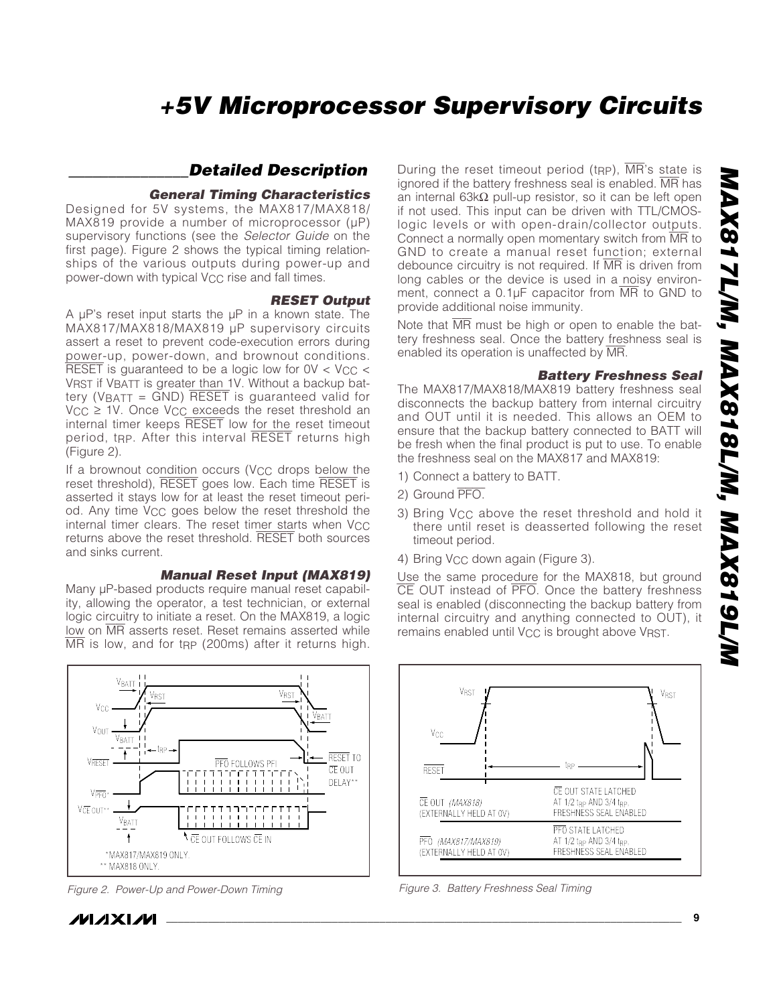*\**

# *+5V Microprocessor Supervisory Circuits*

## *\_\_\_\_\_\_\_\_\_\_\_\_\_\_\_Detailed Description*

#### *General Timing Characteristics*

Designed for 5V systems, the MAX817/MAX818/  $MAX819$  provide a number of microprocessor ( $\mu$ P) supervisory functions (see the *Selector Guide* on the first page). Figure 2 shows the typical timing relationships of the various outputs during power-up and power-down with typical  $V_{CC}$  rise and fall times.

#### *RESET Output*

A µP's reset input starts the µP in a known state. The MAX817/MAX818/MAX819 µP supervisory circuits assert a reset to prevent code-execution errors during power-up, power-down, and brownout conditions.  $\overline{\text{RESET}}$  is guaranteed to be a logic low for  $0$ V < V<sub>CC</sub> < VRST if VBATT is greater than 1V. Without a backup battery (VBATT =  $GND$ ) RESET is guaranteed valid for  $V_{CC} \geq 1V$ . Once  $V_{CC}$  exceeds the reset threshold an internal timer keeps RESET low for the reset timeout period, t<sub>RP</sub>. After this interval RESET returns high (Figure 2).

If a brownout condition occurs (V<sub>CC</sub> drops below the reset threshold), RESET goes low. Each time RESET is asserted it stays low for at least the reset timeout period. Any time V<sub>CC</sub> goes below the reset threshold the internal timer clears. The reset timer starts when V<sub>CC</sub> returns above the reset threshold. RESET both sources and sinks current.

#### *Manual Reset Input (MAX819)*

Many  $\mu$ P-based products require manual reset capability, allowing the operator, a test technician, or external logic circuitry to initiate a reset. On the MAX819, a logic low on MR asserts reset. Reset remains asserted while  $\overline{\text{MR}}$  is low, and for t<sub>RP</sub> (200ms) after it returns high.



*Figure 2. Power-Up and Power-Down Timing*

*IVI A* XI*IV*I

During the reset timeout period (t<sub>RP</sub>),  $\overline{MR}$ 's state is ignored if the battery freshness seal is enabled. MR has an internal 63kΩ pull-up resistor, so it can be left open if not used. This input can be driven with TTL/CMOSlogic levels or with open-drain/collector outputs. Connect a normally open momentary switch from MR to GND to create a manual reset function; external debounce circuitry is not required. If  $\overline{MR}$  is driven from long cables or the device is used in a noisy environment, connect a 0.1µF capacitor from MR to GND to provide additional noise immunity.

Note that  $\overline{MR}$  must be high or open to enable the battery freshness seal. Once the battery freshness seal is enabled its operation is unaffected by MR.

#### *Battery Freshness Seal*

The MAX817/MAX818/MAX819 battery freshness seal disconnects the backup battery from internal circuitry and OUT until it is needed. This allows an OEM to ensure that the backup battery connected to BATT will be fresh when the final product is put to use. To enable the freshness seal on the MAX817 and MAX819:

- 1) Connect a battery to BATT.
- 2) Ground PFO.
- 3) Bring V<sub>CC</sub> above the reset threshold and hold it there until reset is deasserted following the reset timeout period.
- 4) Bring V<sub>CC</sub> down again (Figure 3).

Use the same procedure for the MAX818, but ground CE OUT instead of PFO. Once the battery freshness seal is enabled (disconnecting the backup battery from internal circuitry and anything connected to OUT), it remains enabled until V<sub>CC</sub> is brought above VRST.



*Figure 3. Battery Freshness Seal Timing*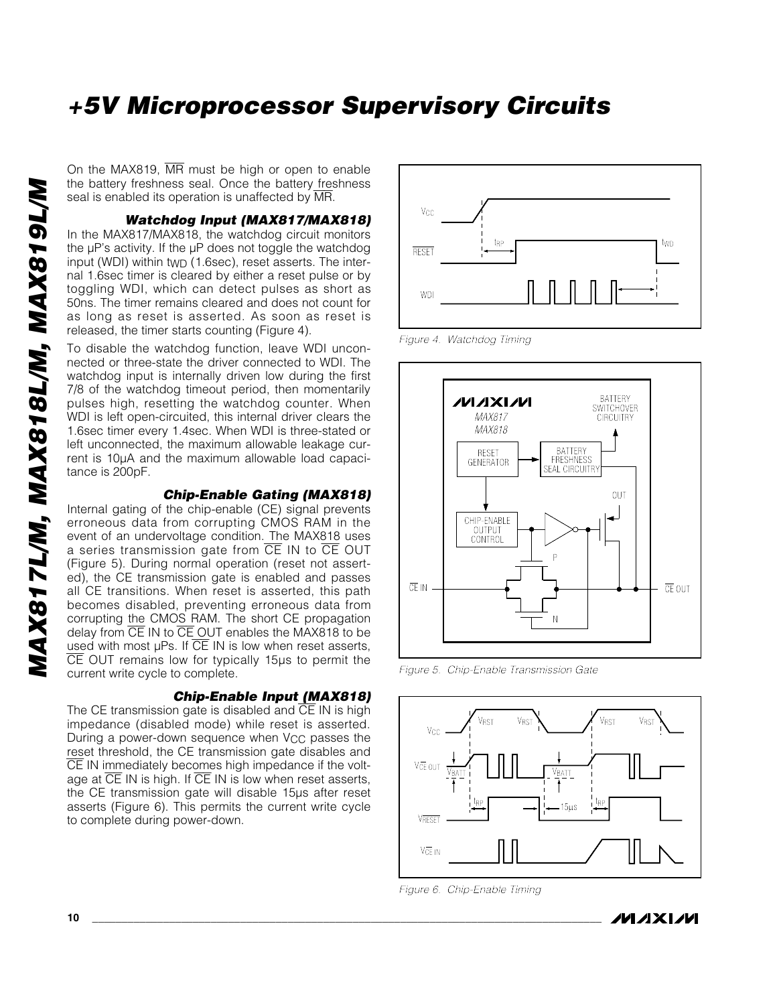On the MAX819, MR must be high or open to enable the battery freshness seal. Once the battery freshness seal is enabled its operation is unaffected by MR.

*Watchdog Input (MAX817/MAX818)*

In the MAX817/MAX818, the watchdog circuit monitors the µP's activity. If the µP does not toggle the watchdog input (WDI) within tWD (1.6sec), reset asserts. The internal 1.6sec timer is cleared by either a reset pulse or by toggling WDI, which can detect pulses as short as 50ns. The timer remains cleared and does not count for as long as reset is asserted. As soon as reset is released, the timer starts counting (Figure 4).

To disable the watchdog function, leave WDI unconnected or three-state the driver connected to WDI. The watchdog input is internally driven low during the first 7/8 of the watchdog timeout period, then momentarily pulses high, resetting the watchdog counter. When WDI is left open-circuited, this internal driver clears the 1.6sec timer every 1.4sec. When WDI is three-stated or left unconnected, the maximum allowable leakage current is 10µA and the maximum allowable load capacitance is 200pF.

#### *Chip-Enable Gating (MAX818)*

Internal gating of the chip-enable (CE) signal prevents erroneous data from corrupting CMOS RAM in the event of an undervoltage condition. The MAX818 uses a series transmission gate from  $\overline{\text{CE}}$  IN to  $\overline{\text{CE}}$  OUT (Figure 5). During normal operation (reset not asserted), the CE transmission gate is enabled and passes all CE transitions. When reset is asserted, this path becomes disabled, preventing erroneous data from corrupting the CMOS RAM. The short CE propagation delay from  $\overline{CE}$  IN to  $\overline{CE}$  OUT enables the MAX818 to be used with most µPs. If CE IN is low when reset asserts, CE OUT remains low for typically 15µs to permit the current write cycle to complete.

#### *Chip-Enable Input (MAX818)*

The CE transmission gate is disabled and  $\overline{CE}$  IN is high impedance (disabled mode) while reset is asserted. During a power-down sequence when V<sub>CC</sub> passes the reset threshold, the CE transmission gate disables and CE IN immediately becomes high impedance if the voltage at  $\overline{CE}$  IN is high. If  $\overline{CE}$  IN is low when reset asserts, the CE transmission gate will disable 15µs after reset asserts (Figure 6). This permits the current write cycle to complete during power-down.



*Figure 4. Watchdog Timing*



*Figure 5. Chip-Enable Transmission Gate*



*Figure 6. Chip-Enable Timing*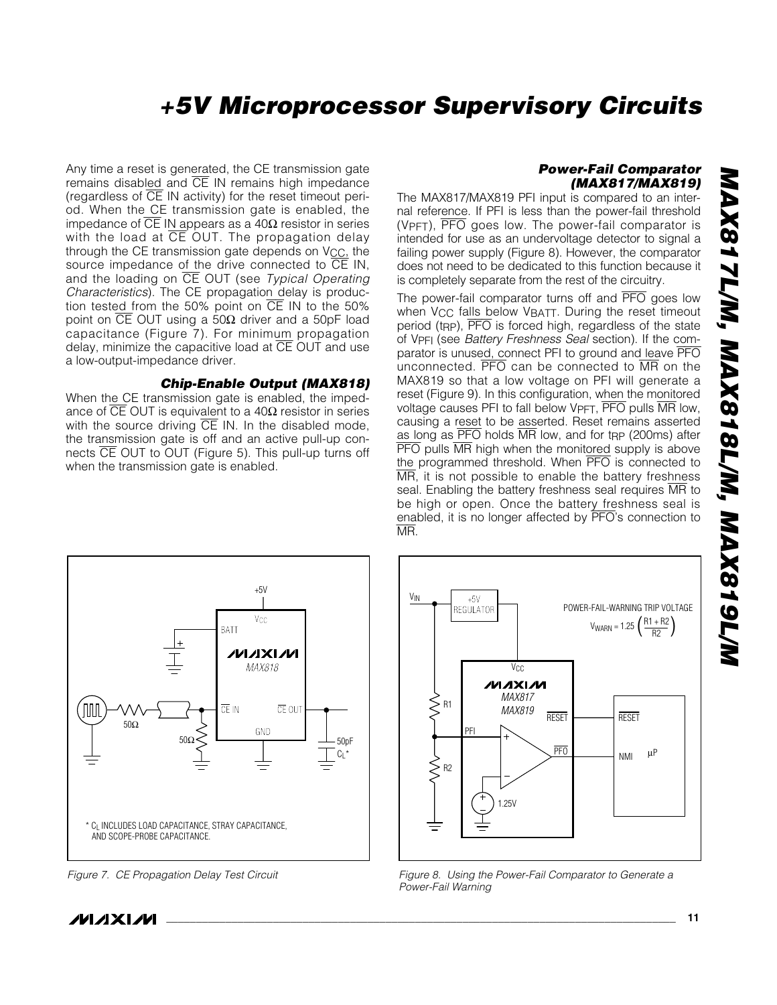# *MAX817L/M, MAX818L/M, MAX819L/M* MAX817L/M, MAX818L/M, MAX819L/M

*\**

# *+5V Microprocessor Supervisory Circuits*

Any time a reset is generated, the CE transmission gate remains disabled and  $\overline{CE}$  IN remains high impedance (regardless of  $\overline{CE}$  IN activity) for the reset timeout period. When the CE transmission gate is enabled, the impedance of CE IN appears as a  $40Ω$  resistor in series with the load at  $\overline{CE}$  OUT. The propagation delay through the CE transmission gate depends on  $V_{CC}$ , the source impedance of the drive connected to  $\overline{CE}$  IN, and the loading on CE OUT (see *Typical Operating Characteristics*). The CE propagation delay is production tested from the 50% point on CE IN to the 50% point on  $\overline{CE}$  OUT using a 50Ω driver and a 50pF load capacitance (Figure 7). For minimum propagation delay, minimize the capacitive load at  $\overline{CE}$  OUT and use a low-output-impedance driver.

#### *Chip-Enable Output (MAX818)*

When the CE transmission gate is enabled, the impedance of  $\overline{CE}$  OUT is equivalent to a 40Ω resistor in series with the source driving  $\overline{CE}$  IN. In the disabled mode, the transmission gate is off and an active pull-up connects CE OUT to OUT (Figure 5). This pull-up turns off when the transmission gate is enabled.

#### *Power-Fail Comparator (MAX817/MAX819)*

The MAX817/MAX819 PFI input is compared to an internal reference. If PFI is less than the power-fail threshold (VPFT), PFO goes low. The power-fail comparator is intended for use as an undervoltage detector to signal a failing power supply (Figure 8). However, the comparator does not need to be dedicated to this function because it is completely separate from the rest of the circuitry.

The power-fail comparator turns off and PFO goes low when V<sub>CC</sub> falls below V<sub>BATT</sub>. During the reset timeout period (tRP), PFO is forced high, regardless of the state of VPFI (see *Battery Freshness Seal* section). If the comparator is unused, connect PFI to ground and leave PFO unconnected. PFO can be connected to MR on the MAX819 so that a low voltage on PFI will generate a reset (Figure 9). In this configuration, when the monitored voltage causes PFI to fall below VPFT, PFO pulls MR low, causing a reset to be asserted. Reset remains asserted as long as PFO holds MR low, and for t<sub>RP</sub> (200ms) after **PFO** pulls MR high when the monitored supply is above the programmed threshold. When PFO is connected to  $\overline{\text{MR}}$ , it is not possible to enable the battery freshness seal. Enabling the battery freshness seal requires MR to be high or open. Once the battery freshness seal is enabled, it is no longer affected by PFO's connection to MR.



*Figure 7. CE Propagation Delay Test Circuit*



*Figure 8. Using the Power-Fail Comparator to Generate a Power-Fail Warning*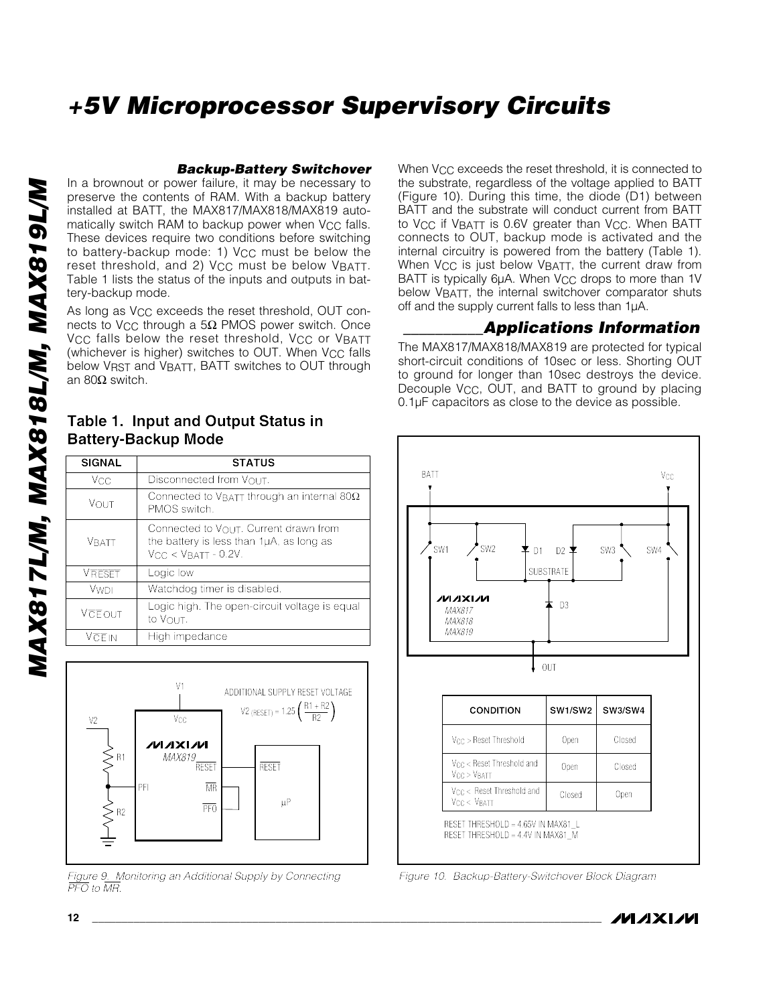#### *Backup-Battery Switchover*

In a brownout or power failure, it may be necessary to preserve the contents of RAM. With a backup battery installed at BATT, the MAX817/MAX818/MAX819 automatically switch RAM to backup power when  $V_{CC}$  falls. These devices require two conditions before switching to battery-backup mode: 1) V<sub>CC</sub> must be below the reset threshold, and 2) V<sub>CC</sub> must be below VBATT. Table 1 lists the status of the inputs and outputs in battery-backup mode.

As long as V<sub>CC</sub> exceeds the reset threshold, OUT connects to V<sub>CC</sub> through a 5 $\Omega$  PMOS power switch. Once V<sub>CC</sub> falls below the reset threshold, V<sub>CC</sub> or VBATT (whichever is higher) switches to OUT. When V<sub>CC</sub> falls below VRST and VBATT, BATT switches to OUT through an 80Ω switch.

| <b>SIGNAL</b> | <b>STATUS</b>                                                                                                           |
|---------------|-------------------------------------------------------------------------------------------------------------------------|
| Vcc           | Disconnected from VOUT.                                                                                                 |
| VOUT          | Connected to VBATT through an internal 80 $\Omega$<br>PMOS switch.                                                      |
| <b>VRATT</b>  | Connected to $V_{\Omega U}T$ . Current drawn from<br>the battery is less than 1µA, as long as<br>$VCC < VBATT - 0.2V$ . |
| <b>VRESET</b> | Logic low                                                                                                               |
| <b>VWDI</b>   | Watchdog timer is disabled.                                                                                             |
| VCEOUT        | Logic high. The open-circuit voltage is equal<br>to VOUT.                                                               |
| VCEIN         | High impedance                                                                                                          |



*Figure 9. Monitoring an Additional Supply by Connecting PFO to MR.*

When V<sub>CC</sub> exceeds the reset threshold, it is connected to the substrate, regardless of the voltage applied to BATT (Figure 10). During this time, the diode (D1) between BATT and the substrate will conduct current from BATT to V<sub>CC</sub> if V<sub>BATT</sub> is 0.6V greater than V<sub>CC</sub>. When BATT connects to OUT, backup mode is activated and the internal circuitry is powered from the battery (Table 1). When V<sub>CC</sub> is just below VBATT, the current draw from BATT is typically 6µA. When V<sub>CC</sub> drops to more than 1V below VBATT, the internal switchover comparator shuts off and the supply current falls to less than 1µA.

## *\_\_\_\_\_\_\_\_\_\_Applications Information*

The MAX817/MAX818/MAX819 are protected for typical short-circuit conditions of 10sec or less. Shorting OUT to ground for longer than 10sec destroys the device. Decouple V<sub>CC</sub>, OUT, and BATT to ground by placing 0.1µF capacitors as close to the device as possible.



*Figure 10. Backup-Battery-Switchover Block Diagram*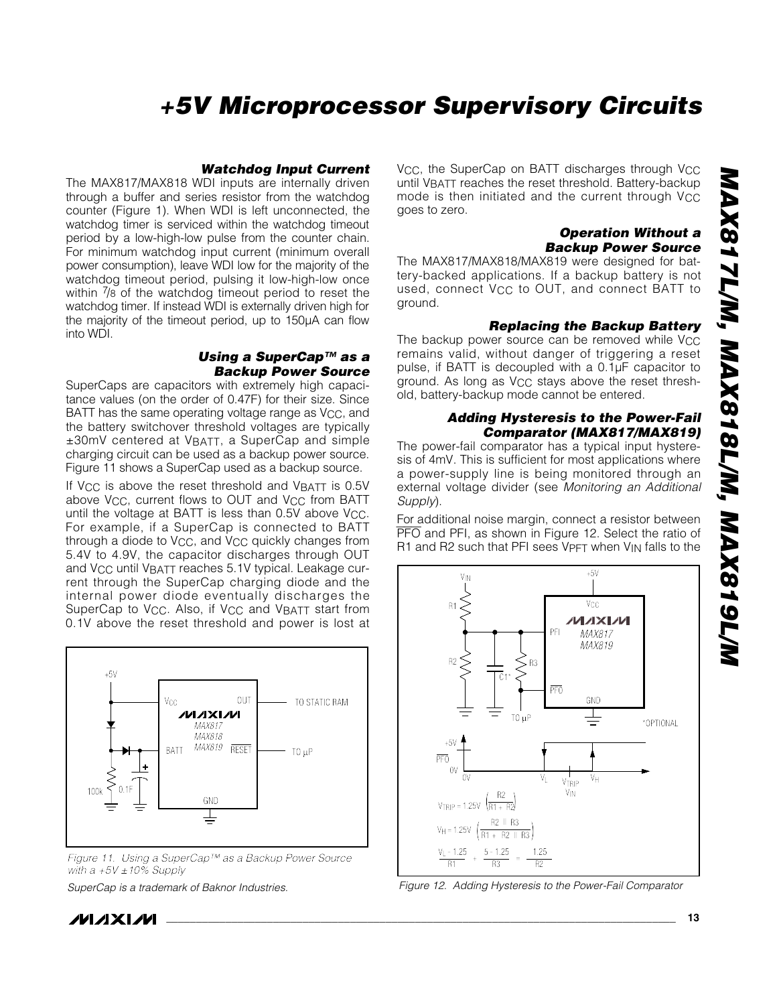*\**

# *+5V Microprocessor Supervisory Circuits*

#### *Watchdog Input Current*

The MAX817/MAX818 WDI inputs are internally driven through a buffer and series resistor from the watchdog counter (Figure 1). When WDI is left unconnected, the watchdog timer is serviced within the watchdog timeout period by a low-high-low pulse from the counter chain. For minimum watchdog input current (minimum overall power consumption), leave WDI low for the majority of the watchdog timeout period, pulsing it low-high-low once within  $\frac{7}{8}$  of the watchdog timeout period to reset the watchdog timer. If instead WDI is externally driven high for the majority of the timeout period, up to 150µA can flow into WDI.

#### *Using a SuperCap™ as a Backup Power Source*

SuperCaps are capacitors with extremely high capacitance values (on the order of 0.47F) for their size. Since BATT has the same operating voltage range as V<sub>CC</sub>, and the battery switchover threshold voltages are typically ±30mV centered at VBATT, a SuperCap and simple charging circuit can be used as a backup power source. Figure 11 shows a SuperCap used as a backup source.

If V<sub>CC</sub> is above the reset threshold and V<sub>BATT</sub> is 0.5V above V<sub>CC</sub>, current flows to OUT and V<sub>CC</sub> from BATT until the voltage at BATT is less than 0.5V above V<sub>CC</sub>. For example, if a SuperCap is connected to BATT through a diode to V<sub>CC</sub>, and V<sub>CC</sub> quickly changes from 5.4V to 4.9V, the capacitor discharges through OUT and VCC until VBATT reaches 5.1V typical. Leakage current through the SuperCap charging diode and the internal power diode eventually discharges the SuperCap to Vcc. Also, if Vcc and VBATT start from 0.1V above the reset threshold and power is lost at



*Figure 11. Using a SuperCap™ as a Backup Power Source with a +5V ±10% Supply*

*SuperCap is a trademark of Baknor Industries.*

*IVI A* XI*IV*I

V<sub>CC</sub>, the SuperCap on BATT discharges through V<sub>CC</sub> until VBATT reaches the reset threshold. Battery-backup mode is then initiated and the current through VCC goes to zero.

#### *Operation Without a Backup Power Source*

The MAX817/MAX818/MAX819 were designed for battery-backed applications. If a backup battery is not used, connect V<sub>CC</sub> to OUT, and connect BATT to ground.

#### *Replacing the Backup Battery*

The backup power source can be removed while V<sub>CC</sub> remains valid, without danger of triggering a reset pulse, if BATT is decoupled with a 0.1µF capacitor to ground. As long as VCC stays above the reset threshold, battery-backup mode cannot be entered.

#### *Adding Hysteresis to the Power-Fail Comparator (MAX817/MAX819)*

The power-fail comparator has a typical input hysteresis of 4mV. This is sufficient for most applications where a power-supply line is being monitored through an external voltage divider (see *Monitoring an Additional Supply*).

For additional noise margin, connect a resistor between PFO and PFI, as shown in Figure 12. Select the ratio of R1 and R2 such that PFI sees VPFT when V<sub>IN</sub> falls to the



*Figure 12. Adding Hysteresis to the Power-Fail Comparator*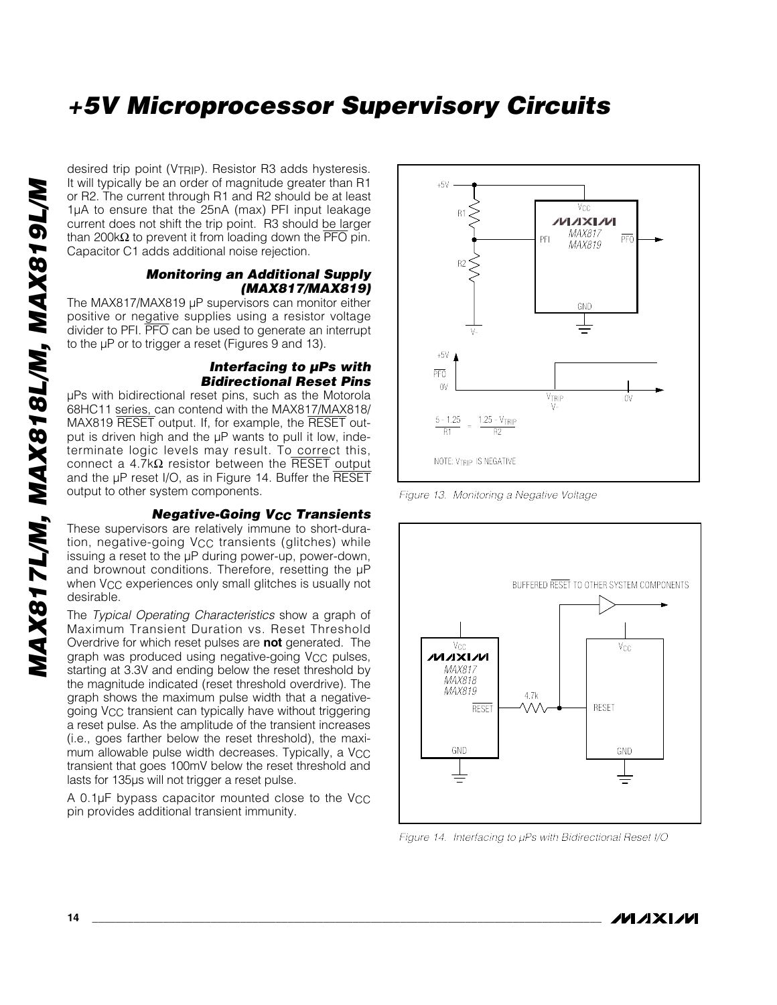desired trip point (VTRIP). Resistor R3 adds hysteresis. It will typically be an order of magnitude greater than R1 or R2. The current through R1 and R2 should be at least 1µA to ensure that the 25nA (max) PFI input leakage current does not shift the trip point. R3 should be larger than 200kΩ to prevent it from loading down the  $\overline{PFO}$  pin. Capacitor C1 adds additional noise rejection.

#### *Monitoring an Additional Supply (MAX817/MAX819)*

The MAX817/MAX819 µP supervisors can monitor either positive or negative supplies using a resistor voltage divider to PFI. PFO can be used to generate an interrupt to the µP or to trigger a reset (Figures 9 and 13).

#### *Interfacing to µPs with Bidirectional Reset Pins*

µPs with bidirectional reset pins, such as the Motorola 68HC11 series, can contend with the MAX817/MAX818/ MAX819 RESET output. If, for example, the RESET output is driven high and the µP wants to pull it low, indeterminate logic levels may result. To correct this, connect a 4.7kΩ resistor between the RESET output and the µP reset I/O, as in Figure 14. Buffer the RESET output to other system components.

#### *Negative-Going VCC Transients*

These supervisors are relatively immune to short-duration, negative-going V<sub>CC</sub> transients (glitches) while issuing a reset to the µP during power-up, power-down, and brownout conditions. Therefore, resetting the µP when V<sub>CC</sub> experiences only small glitches is usually not desirable.

The *Typical Operating Characteristics* show a graph of Maximum Transient Duration vs. Reset Threshold Overdrive for which reset pulses are **not** generated. The graph was produced using negative-going V<sub>CC</sub> pulses, starting at 3.3V and ending below the reset threshold by the magnitude indicated (reset threshold overdrive). The graph shows the maximum pulse width that a negativegoing VCC transient can typically have without triggering a reset pulse. As the amplitude of the transient increases (i.e., goes farther below the reset threshold), the maximum allowable pulse width decreases. Typically, a  $V_{CC}$ transient that goes 100mV below the reset threshold and lasts for 135µs will not trigger a reset pulse.

A 0.1 $\mu$ F bypass capacitor mounted close to the V<sub>CC</sub> pin provides additional transient immunity.



*Figure 13. Monitoring a Negative Voltage*



*Figure 14. Interfacing to µPs with Bidirectional Reset I/O* 

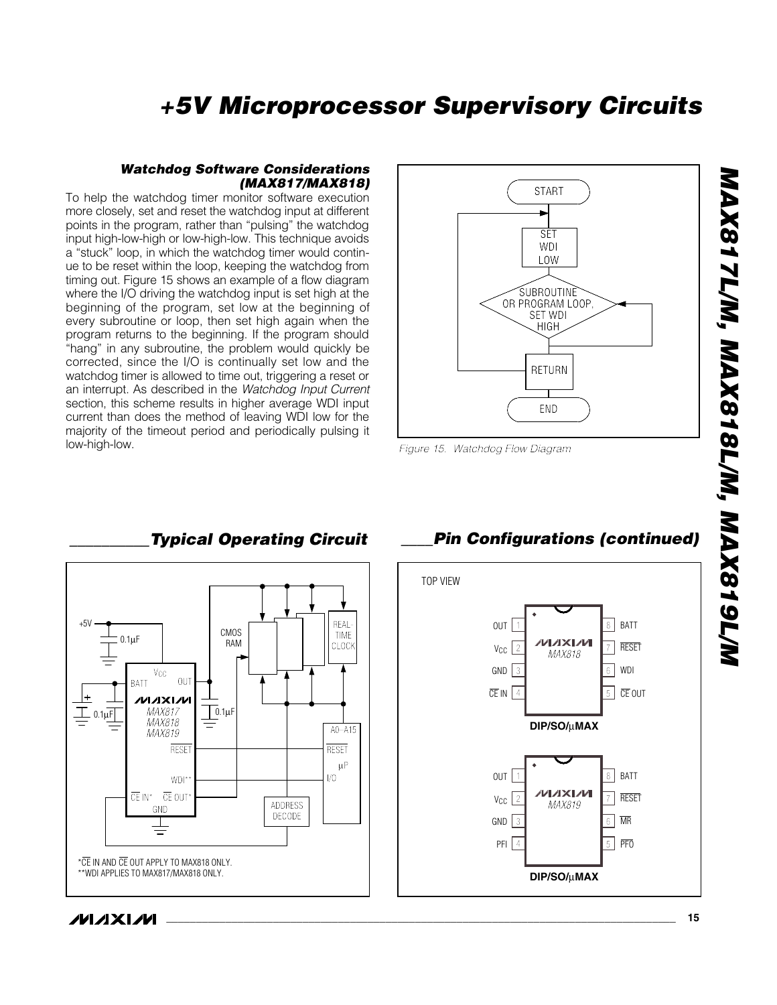

#### *Watchdog Software Considerations (MAX817/MAX818)*

To help the watchdog timer monitor software execution more closely, set and reset the watchdog input at different points in the program, rather than "pulsing" the watchdog input high-low-high or low-high-low. This technique avoids a "stuck" loop, in which the watchdog timer would continue to be reset within the loop, keeping the watchdog from timing out. Figure 15 shows an example of a flow diagram where the I/O driving the watchdog input is set high at the beginning of the program, set low at the beginning of every subroutine or loop, then set high again when the program returns to the beginning. If the program should "hang" in any subroutine, the problem would quickly be corrected, since the I/O is continually set low and the watchdog timer is allowed to time out, triggering a reset or an interrupt. As described in the *Watchdog Input Current* section, this scheme results in higher average WDI input current than does the method of leaving WDI low for the majority of the timeout period and periodically pulsing it low-high-low. *Figure 15. Watchdog Flow Diagram*



## *\_\_\_\_\_\_\_\_\_\_Typical Operating Circuit \_\_\_\_Pin Configurations (continued)*



*\**